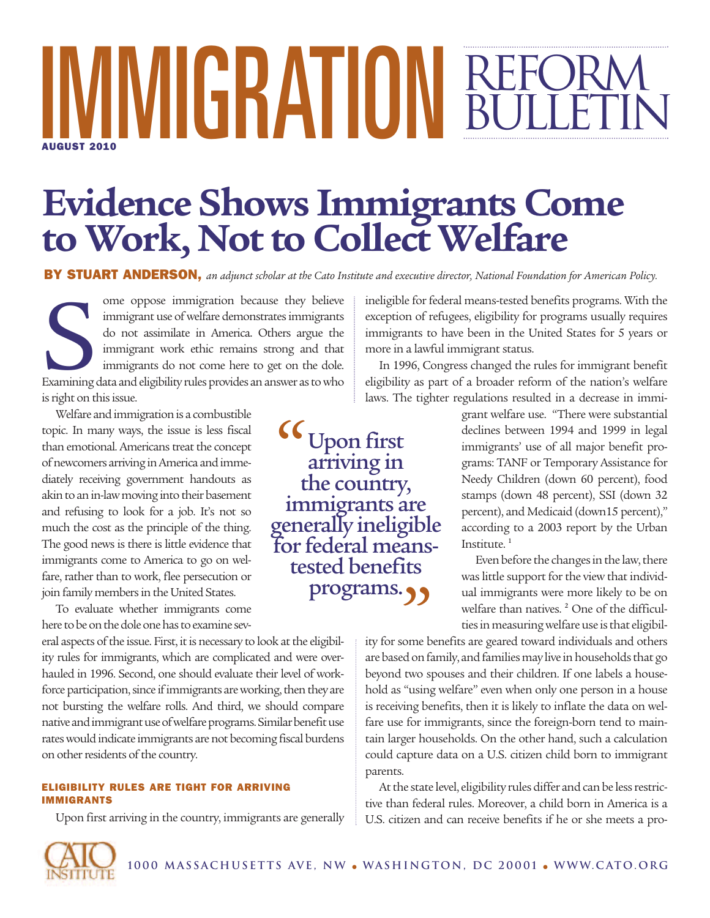# **MMGRATIU** BULLETIN **AUGUST 2010**

# **Evidence Shows Immigrants Come to Work, NottoCollect Welfare**

BY STUART ANDERSON, an adjunct scholar at the Cato Institute and executive director, National Foundation for American Policy.

ome oppose immigration because they believe<br>
immigrant use of welfare demonstrates immigrants<br>
do not assimilate in America. Others argue the<br>
immigrant work ethic remains strong and that<br>
immigrants do not come here to ge ome oppose immigration because they believe immigrant use of welfare demonstrates immigrants do not assimilate in America. Others argue the immigrant work ethic remains strong and that immigrants do not come here to get on the dole. is right on this issue.

Welfare and immigration is a combustible topic. In many ways, the issue is less fiscal than emotional. Americans treat the concept ofnewcomers arriving inAmerica andimmediately receiving government handouts as akin to an in-law moving into their basement and refusing to look for a job. It's not so much the cost as the principle of the thing. The good news is there is little evidence that immigrants come to America to go on welfare, rather than to work, flee persecution or join family members in the United States.

To evaluate whether immigrants come here to be on the dole one has to examine sev-

eral aspects of the issue. First, it is necessary to look at the eligibility rules for immigrants, which are complicated and were overhauled in 1996. Second, one should evaluate their level of workforce participation, since if immigrants are working, then they are not bursting the welfare rolls. And third, we should compare native and immigrant use of welfare programs. Similar benefit use rates would indicate immigrants are not becoming fiscal burdens on other residents of the country.

#### **ELIGIBILITY RULES ARE TIGHT FOR ARRIVING IMMIGRANTS**

Upon first arriving in the country, immigrants are generally

ineligible for federal means-tested benefits programs. With the exception of refugees, eligibility for programs usually requires immigrants to have been in the United States for 5 years or more in a lawful immigrant status.

In 1996, Congress changed the rules for immigrant benefit eligibility as part of a broader reform of the nation's welfare laws. The tighter regulations resulted in a decrease in immi-

Upon first arriving in the country, immigrants are generally ineligible For federal means-<br>tested benefits programs. " "

grant welfare use. "There were substantial declines between 1994 and 1999 in legal immigrants' use of all major benefit programs: TANF or Temporary Assistance for Needy Children (down 60 percent), food stamps (down 48 percent), SSI (down 32 percent), and Medicaid (down15 percent)," according to a 2003 report by the Urban Institute.<sup>1</sup>

Even before the changes in the law, there was little support for the view that individual immigrants were more likely to be on welfare than natives.<sup>2</sup> One of the difficulties in measuring welfare use is that eligibil-

ity for some benefits are geared toward individuals and others are based on family, and families may live in households that go beyond two spouses and their children. If one labels a household as "using welfare" even when only one person in a house is receiving benefits, then it is likely to inflate the data on welfare use for immigrants, since the foreign-born tend to maintain larger households. On the other hand, such a calculation could capture data on a U.S. citizen child born to immigrant parents.

At the state level, eligibility rules differ and can be less restrictive than federal rules. Moreover, a child born in America is a U.S. citizen and can receive benefits if he or she meets a pro-

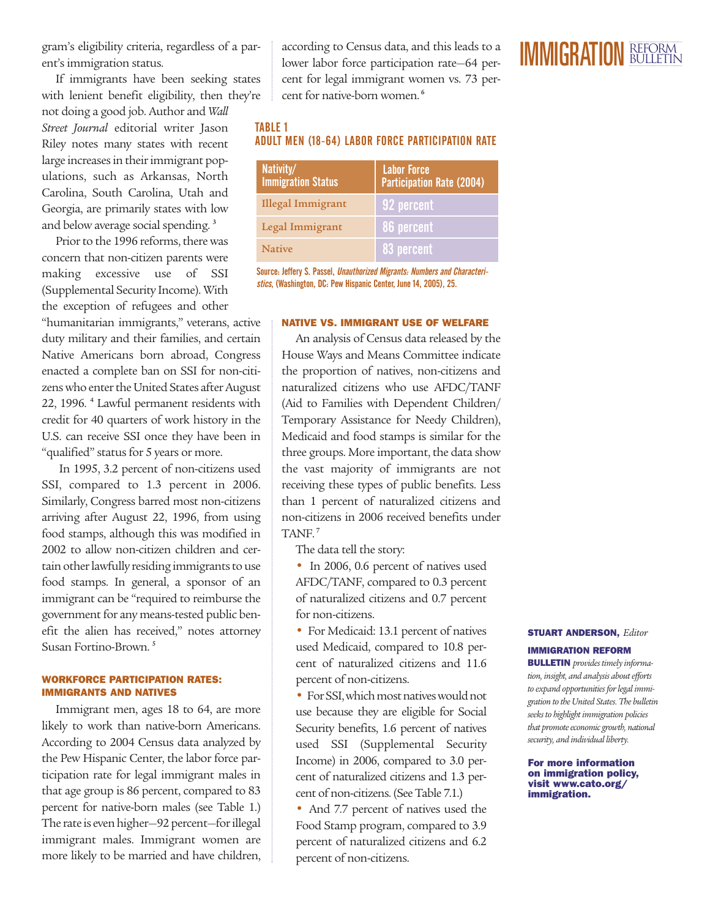gram's eligibility criteria, regardless of a parent's immigration status.

If immigrants have been seeking states with lenient benefit eligibility, then they're

not doing a good job. Author and *Wall Street Journal* editorial writer Jason Riley notes many states with recent large increases in their immigrant populations, such as Arkansas, North Carolina, South Carolina, Utah and Georgia, are primarily states with low and below average social spending.<sup>3</sup>

Prior to the 1996 reforms, there was concern that non-citizen parents were making excessive use of SSI (Supplemental Security Income). With the exception of refugees and other

"humanitarian immigrants," veterans, active duty military and their families, and certain Native Americans born abroad, Congress enacted a complete ban on SSI for non-citizens who enter the United States after August 22, 1996. <sup>4</sup> Lawful permanent residents with credit for 40 quarters of work history in the U.S. can receive SSI once they have been in "qualified" status for 5 years or more.

In 1995, 3.2 percent of non-citizens used SSI, compared to 1.3 percent in 2006. Similarly, Congress barred most non-citizens arriving after August 22, 1996, from using food stamps, although this was modified in 2002 to allow non-citizen children and certain other lawfully residing immigrants to use food stamps. In general, a sponsor of an immigrant can be "required to reimburse the government for any means-tested public benefit the alien has received," notes attorney Susan Fortino-Brown. <sup>5</sup>

#### **WORKFORCE PARTICIPATION RATES: IMMIGRANTS AND NATIVES**

Immigrant men, ages 18 to 64, are more likely to work than native-born Americans. According to 2004 Census data analyzed by the Pew Hispanic Center, the labor force participation rate for legal immigrant males in that age group is 86 percent, compared to 83 percent for native-born males (see Table 1.) The rate is even higher-92 percent-for illegal immigrant males. Immigrant women are more likely to be married and have children,

according to Census data, and this leads to a lower labor force participation rate—64 percent for legal immigrant women vs. 73 percent for native-born women. 6

## TABLE 1 ADULT MEN (18-64) LABOR FORCE PARTICIPATION RATE

| Nativity/<br><b>Immigration Status</b> | <b>Labor Force</b><br><b>Participation Rate (2004)</b> |  |
|----------------------------------------|--------------------------------------------------------|--|
| Illegal Immigrant                      | 92 percent                                             |  |
| Legal Immigrant                        | 86 percent                                             |  |
| <b>Native</b>                          | 83 percent                                             |  |

Source: Jeffery S. Passel, Unauthorized Migrants: Numbers and Characteristics, (Washington, DC: Pew Hispanic Center, June 14, 2005), 25.

#### **NATIVE VS. IMMIGRANT USE OF WELFARE**

An analysis of Census data released by the House Ways and Means Committee indicate the proportion of natives, non-citizens and naturalized citizens who use AFDC/TANF (Aid to Families with Dependent Children/ Temporary Assistance for Needy Children), Medicaid and food stamps is similar for the three groups. More important, the data show the vast majority of immigrants are not receiving these types of public benefits. Less than 1 percent of naturalized citizens and non-citizens in 2006 received benefits under TANF. 7

The data tell the story:

• In 2006, 0.6 percent of natives used AFDC/TANF, compared to 0.3 percent of naturalized citizens and 0.7 percent for non-citizens.

• For Medicaid: 13.1 percent of natives used Medicaid, compared to 10.8 percent of naturalized citizens and 11.6 percent of non-citizens.

• For SSI, which most natives would not use because they are eligible for Social Security benefits, 1.6 percent of natives used SSI (Supplemental Security Income) in 2006, compared to 3.0 percent of naturalized citizens and 1.3 percent of non-citizens. (See Table 7.1.)

• And 7.7 percent of natives used the Food Stamp program, compared to 3.9 percent of naturalized citizens and 6.2 percent of non-citizens.

### **STUART ANDERSON,** *Editor* **IMMIGRATION REFORM**

**BULLETIN** *provides timely information, insight, and analysis aboutefforts*  $to$  *expand opportunities for legal immigration to theUnited States. The bulletin seeks to highlight immigration policies*  $that$  *promote* economic growth, national *security, and individual liberty.*

**For more information on immigration policy, visit www.cato.org/ immigration.**

## IMMIGRATION BULLETIN